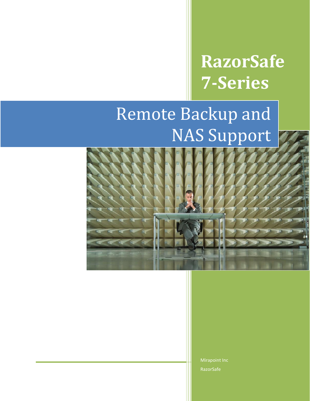# **RazorSafe 7-Series**

# Remote Backup and NAS Support



Mirapoint Inc RazorSafe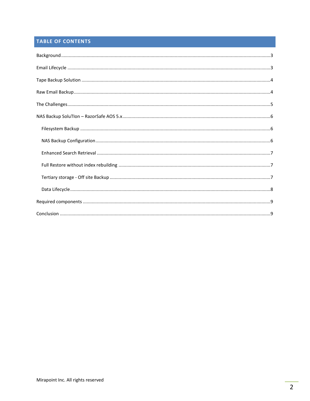### TABLE OF CONTENTS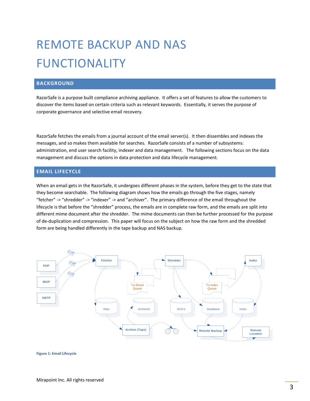## REMOTE BACKUP AND NAS FUNCTIONALITY

### <span id="page-2-0"></span>**BACKGROUND**

RazorSafe is a purpose built compliance archiving appliance. It offers a set of features to allow the customers to discover the items based on certain criteria such as relevant keywords. Essentially, it serves the purpose of corporate governance and selective email recovery.

RazorSafe fetches the emails from a journal account of the email server(s). It then dissembles and indexes the messages, and so makes them available for searches. RazorSafe consists of a number of subsystems: administration, end user search facility, indexer and data management. The following sections focus on the data management and discuss the options in data protection and data lifecycle management.

#### <span id="page-2-1"></span>**EMAIL LIFECYCLE**

When an email gets in the RazorSafe, it undergoes different phases in the system, before they get to the state that they become searchable. The following diagram shows how the emails go through the five stages, namely "fetcher" -> "shredder" -> "indexer" -> and "archiver". The primary difference of the email throughout the lifecycle is that before the "shredder" process, the emails are in complete raw form, and the emails are split into different mime document after the shredder. The mime documents can then be further processed for the purpose of de-duplication and compression. This paper will focus on the subject on how the raw form and the shredded form are being handled differently in the tape backup and NAS backup.



#### **Figure 1: Email Lifecycle**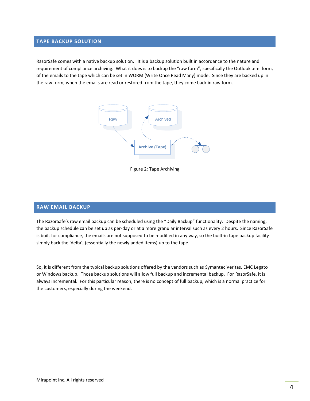#### <span id="page-3-0"></span>**TAPE BACKUP SOLUTION**

RazorSafe comes with a native backup solution. It is a backup solution built in accordance to the nature and requirement of compliance archiving. What it does is to backup the "raw form", specifically the Outlook .eml form, of the emails to the tape which can be set in WORM (Write Once Read Many) mode. Since they are backed up in the raw form, when the emails are read or restored from the tape, they come back in raw form.



Figure 2: Tape Archiving

#### <span id="page-3-1"></span>**RAW EMAIL BACKUP**

The RazorSafe's raw email backup can be scheduled using the "Daily Backup" functionality. Despite the naming, the backup schedule can be set up as per-day or at a more granular interval such as every 2 hours. Since RazorSafe is built for compliance, the emails are not supposed to be modified in any way, so the built-in tape backup facility simply back the 'delta', (essentially the newly added items) up to the tape.

So, it is different from the typical backup solutions offered by the vendors such as Symantec Veritas, EMC Legato or Windows backup. Those backup solutions will allow full backup and incremental backup. For RazorSafe, it is always incremental. For this particular reason, there is no concept of full backup, which is a normal practice for the customers, especially during the weekend.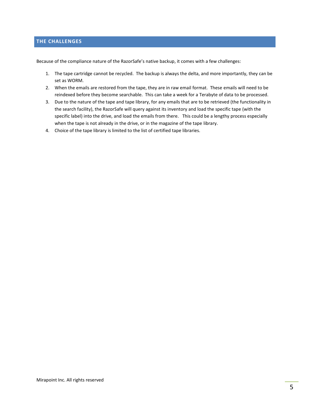#### <span id="page-4-0"></span>**THE CHALLENGES**

Because of the compliance nature of the RazorSafe's native backup, it comes with a few challenges:

- 1. The tape cartridge cannot be recycled. The backup is always the delta, and more importantly, they can be set as WORM.
- 2. When the emails are restored from the tape, they are in raw email format. These emails will need to be reindexed before they become searchable. This can take a week for a Terabyte of data to be processed.
- 3. Due to the nature of the tape and tape library, for any emails that are to be retrieved (the functionality in the search facility), the RazorSafe will query against its inventory and load the specific tape (with the specific label) into the drive, and load the emails from there. This could be a lengthy process especially when the tape is not already in the drive, or in the magazine of the tape library.
- 4. Choice of the tape library is limited to the list of certified tape libraries.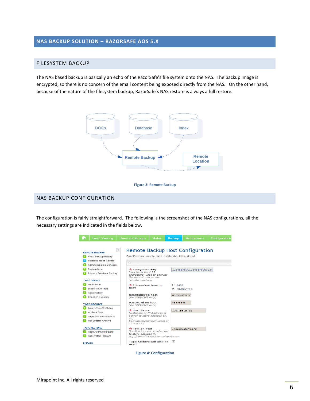#### <span id="page-5-0"></span>**NAS BACKUP SOLUTION – RAZORSAFE AOS 5.X**

#### <span id="page-5-1"></span>FILESYSTEM BACKUP

The NAS based backup is basically an echo of the RazorSafe's file system onto the NAS. The backup image is encrypted, so there is no concern of the email content being exposed directly from the NAS. On the other hand, because of the nature of the filesystem backup, RazorSafe's NAS restore is always a full restore.



#### **Figure 3: Remote Backup**

#### <span id="page-5-2"></span>NAS BACKUP CONFIGURATION

The configuration is fairly straightforward. The following is the screenshot of the NAS configurations, all the necessary settings are indicated in the fields below.

|                                                          | <b>Users and Groups</b>                        | <b>Status</b>                                                                | <b>Backup</b> | <b>Maintenance</b>       | <b>Configuration</b> |  |  |  |
|----------------------------------------------------------|------------------------------------------------|------------------------------------------------------------------------------|---------------|--------------------------|----------------------|--|--|--|
|                                                          |                                                |                                                                              |               |                          |                      |  |  |  |
| Remote Backup Host Configuration<br><b>REMOTE BACKUP</b> |                                                |                                                                              |               |                          |                      |  |  |  |
| View Backup History                                      |                                                | Specify where remote backup data should be stored.                           |               |                          |                      |  |  |  |
| <b>Remote Host Config</b>                                |                                                |                                                                              |               |                          |                      |  |  |  |
| <b>Remote Backup Schedule</b>                            |                                                | $\circ$                                                                      |               |                          |                      |  |  |  |
| <b>Backup Now</b>                                        | * Encryption Key                               |                                                                              |               | 123456789012345678901234 |                      |  |  |  |
| <b>Restore Previous Backup</b>                           |                                                | Must be at least 25<br>characters. Used to encrypt<br>the data stored on the |               |                          |                      |  |  |  |
| <b>TAPE DEVICE</b>                                       | remote machine.                                |                                                                              |               |                          |                      |  |  |  |
| <b>Information</b>                                       |                                                | * Filesystem type on                                                         |               | $C$ NFS                  |                      |  |  |  |
| Erase/Move Tape                                          | host                                           |                                                                              | $\sqrt{2}$    | SMB/CIFS                 |                      |  |  |  |
| <b>Tape History</b>                                      |                                                |                                                                              |               |                          |                      |  |  |  |
| Changer Inventory                                        |                                                | <b>Username on host</b><br>(for SMB/CIFS only)                               |               | administrator            |                      |  |  |  |
| <b>TAPE ARCHIVE</b>                                      | <b>Password on host</b><br>(for SMB/CIFS only) |                                                                              |               |                          |                      |  |  |  |
| EncrypTape(R) Setup                                      |                                                |                                                                              |               |                          |                      |  |  |  |
| <b>Archive Now</b>                                       |                                                | * Host Name<br>Hostname or IP Address of                                     |               | 192.168.28.12            |                      |  |  |  |
| <b>Tape Archive Schedule</b>                             | server to store backups on,                    |                                                                              |               |                          |                      |  |  |  |
| <b>Full System Archive</b>                               | e.a.<br>backups.mycompany.com or<br>10.0.0.222 |                                                                              |               |                          |                      |  |  |  |
| <b>TAPE RESTORE</b>                                      |                                                | <b>* Path on host</b><br>Subdirectory on remote host                         |               | /RazorSafe/rs170         |                      |  |  |  |
| <b>Tape Archive Restore</b>                              |                                                |                                                                              |               |                          |                      |  |  |  |
| <b>Full System Restore</b>                               |                                                | to store backups in,<br>e.g. /home/backups/emailappliance                    |               |                          |                      |  |  |  |
| <b>EMAILS</b>                                            | <b>Tape Archive will also be</b><br>used       |                                                                              | ▽             |                          |                      |  |  |  |

**Figure 4: Configuration**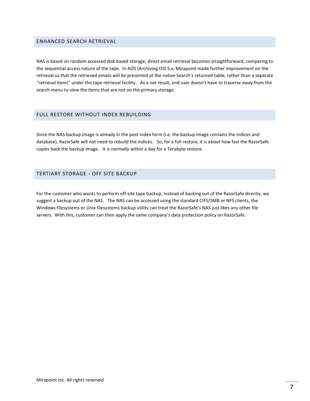#### <span id="page-6-0"></span>ENHANCED SEARCH RETRIEVAL

NAS is based on random accessed disk based storage, direct email retrieval becomes straightforward, comparing to the sequential access nature of the tape. In AOS (Archiving OS) 5.x, Mirapoint made further improvement on the retrieval so that the retrieved emails will be presented at the native Search's returned table, rather than a separate "retrieval items" under the tape retrieval facility. As a net result, end user doesn't have to traverse away from the search menu to view the items that are not on the primary storage.

#### <span id="page-6-1"></span>FULL RESTORE WITHOUT INDEX REBUILDING

Since the NAS backup image is already in the post-index form (i.e. the backup image contains the indices and database), RazorSafe will not need to rebuild the indices. So, for a full restore, it is about how fast the RazorSafe copies back the backup image. It is normally within a day for a Terabyte restore.

#### <span id="page-6-2"></span>TERTIARY STORAGE - OFF SITE BACKUP

For the customer who wants to perform off-site tape backup, instead of backing out of the RazorSafe directly, we suggest a backup out of the NAS. The NAS can be accessed using the standard CIFS/SMB or NFS clients, the Windows filesystems or Unix filesystems backup utility can treat the RazorSafe's NAS just likes any other file servers. With this, customer can then apply the same company's data protection policy on RazorSafe.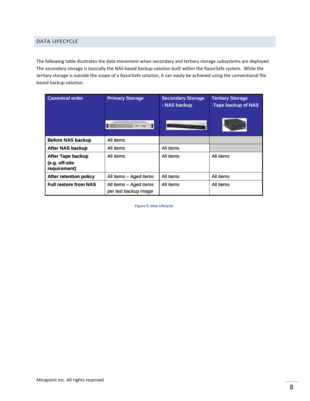#### <span id="page-7-0"></span>DATA LIFECYCLE

The following table illustrates the data movement when secondary and tertiary storage subsystems are deployed. The secondary storage is basically the NAS based backup solution built within the RazorSafe system. While the tertiary storage is outside the scope of a RazorSafe solution, it can easily be achieved using the conventional file based backup solution.

| <b>Canonical order</b>                                     | <b>Primary Storage</b>                          | <b>Secondary Storage</b><br>- NAS backup | <b>Tertiary Storage</b><br>-Tape backup of NAS |
|------------------------------------------------------------|-------------------------------------------------|------------------------------------------|------------------------------------------------|
|                                                            | I M WHAT AND THE TABLE                          |                                          |                                                |
| <b>Before NAS backup</b>                                   | All items                                       |                                          |                                                |
| <b>After NAS backup</b>                                    | All items                                       | All items                                |                                                |
| <b>After Tape backup</b><br>(e.g. off-site<br>requirement) | All items                                       | All items                                | All items                                      |
| After retention policy                                     | All items - Aged items                          | All items                                | All items                                      |
| <b>Full restore from NAS</b>                               | All items - Aged items<br>per last backup image | All items                                | All items                                      |

**Figure 5: data Lifecycle**